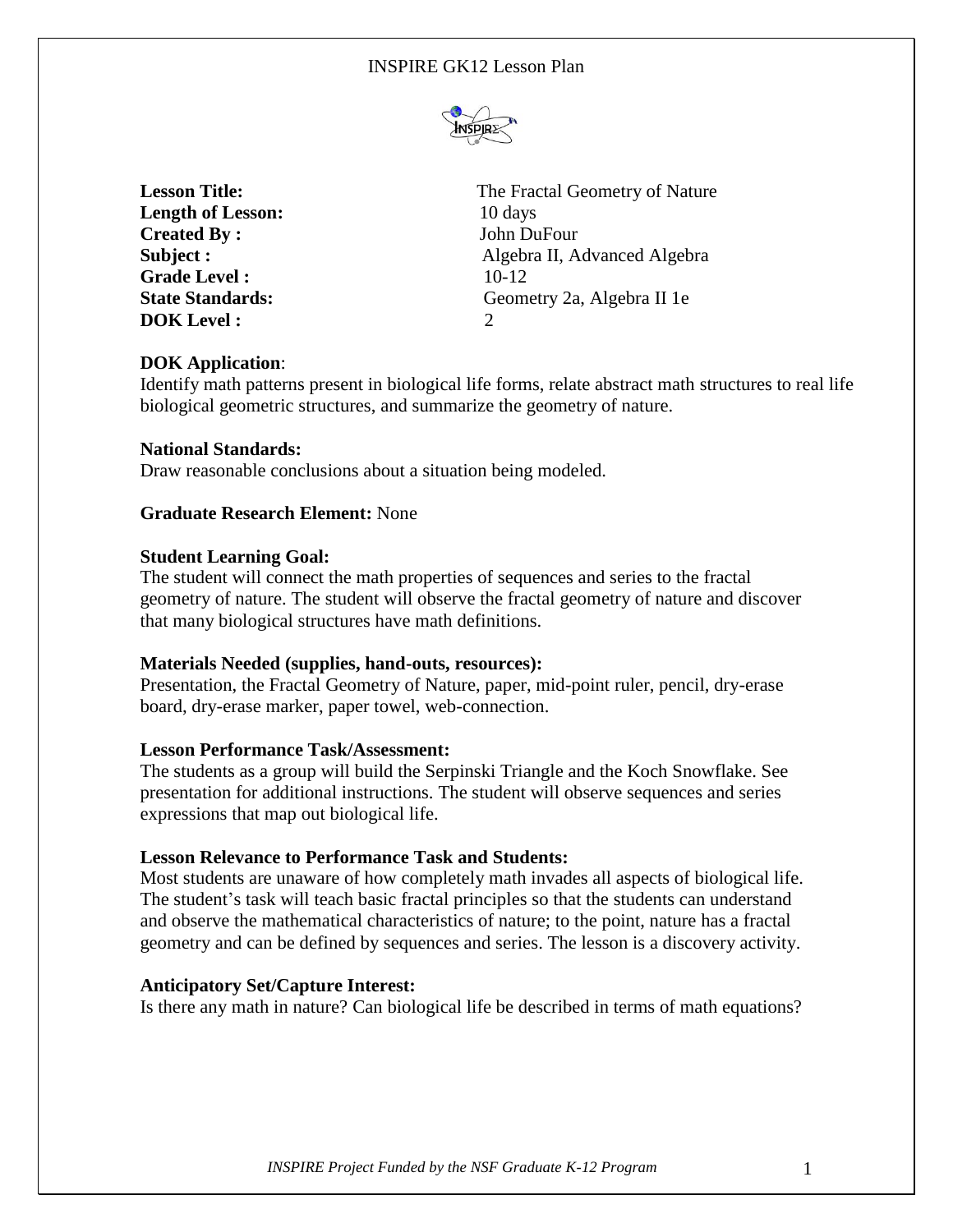

**Length of Lesson:** 10 days **Created By:** John DuFour **Grade Level :** 10-12 **DOK Level :** 2

**Lesson Title:** The Fractal Geometry of Nature **Subject :** Algebra II, Advanced Algebra **State Standards:** Geometry 2a, Algebra II 1e

# **DOK Application**:

Identify math patterns present in biological life forms, relate abstract math structures to real life biological geometric structures, and summarize the geometry of nature.

### **National Standards:**

Draw reasonable conclusions about a situation being modeled.

## **Graduate Research Element:** None

### **Student Learning Goal:**

The student will connect the math properties of sequences and series to the fractal geometry of nature. The student will observe the fractal geometry of nature and discover that many biological structures have math definitions.

#### **Materials Needed (supplies, hand-outs, resources):**

Presentation, the Fractal Geometry of Nature, paper, mid-point ruler, pencil, dry-erase board, dry-erase marker, paper towel, web-connection.

#### **Lesson Performance Task/Assessment:**

The students as a group will build the Serpinski Triangle and the Koch Snowflake. See presentation for additional instructions. The student will observe sequences and series expressions that map out biological life.

## **Lesson Relevance to Performance Task and Students:**

Most students are unaware of how completely math invades all aspects of biological life. The student's task will teach basic fractal principles so that the students can understand and observe the mathematical characteristics of nature; to the point, nature has a fractal geometry and can be defined by sequences and series. The lesson is a discovery activity.

## **Anticipatory Set/Capture Interest:**

Is there any math in nature? Can biological life be described in terms of math equations?